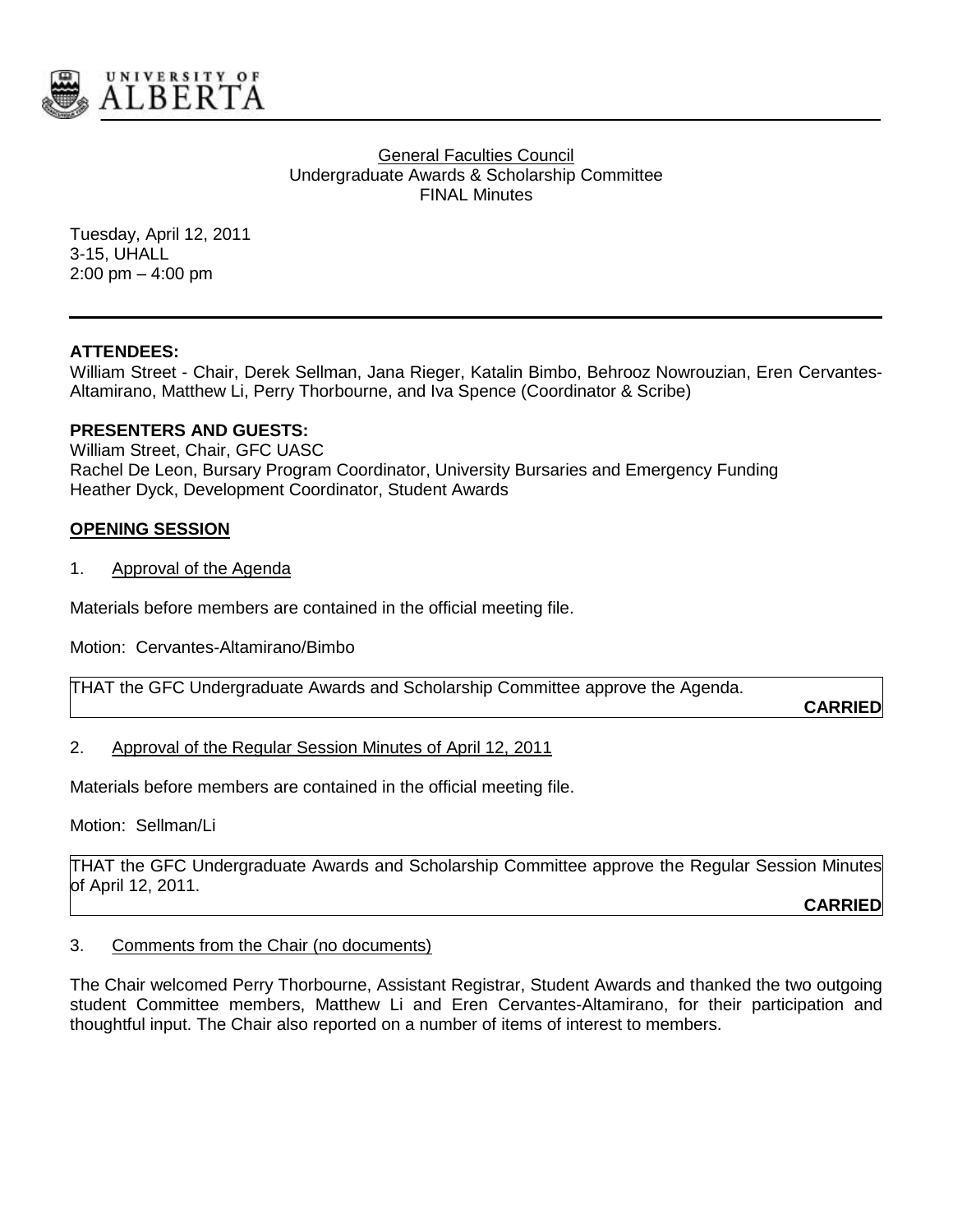

**General Faculties Council** Undergraduate Awards & Scholarship Committee FINAL Minutes

Tuesday, April 12, 2011 3-15, UHALL 2:00 pm – 4:00 pm

# **ATTENDEES:**

William Street - Chair, Derek Sellman, Jana Rieger, Katalin Bimbo, Behrooz Nowrouzian, Eren Cervantes-Altamirano, Matthew Li, Perry Thorbourne, and Iva Spence (Coordinator & Scribe)

### **PRESENTERS AND GUESTS:**

William Street, Chair, GFC UASC Rachel De Leon, Bursary Program Coordinator, University Bursaries and Emergency Funding Heather Dyck, Development Coordinator, Student Awards

### **OPENING SESSION**

1. Approval of the Agenda

Materials before members are contained in the official meeting file.

Motion: Cervantes-Altamirano/Bimbo

THAT the GFC Undergraduate Awards and Scholarship Committee approve the Agenda.

**CARRIED**

# 2. Approval of the Regular Session Minutes of April 12, 2011

Materials before members are contained in the official meeting file.

Motion: Sellman/Li

THAT the GFC Undergraduate Awards and Scholarship Committee approve the Regular Session Minutes of April 12, 2011.

**CARRIED**

#### 3. Comments from the Chair (no documents)

The Chair welcomed Perry Thorbourne, Assistant Registrar, Student Awards and thanked the two outgoing student Committee members, Matthew Li and Eren Cervantes-Altamirano, for their participation and thoughtful input. The Chair also reported on a number of items of interest to members.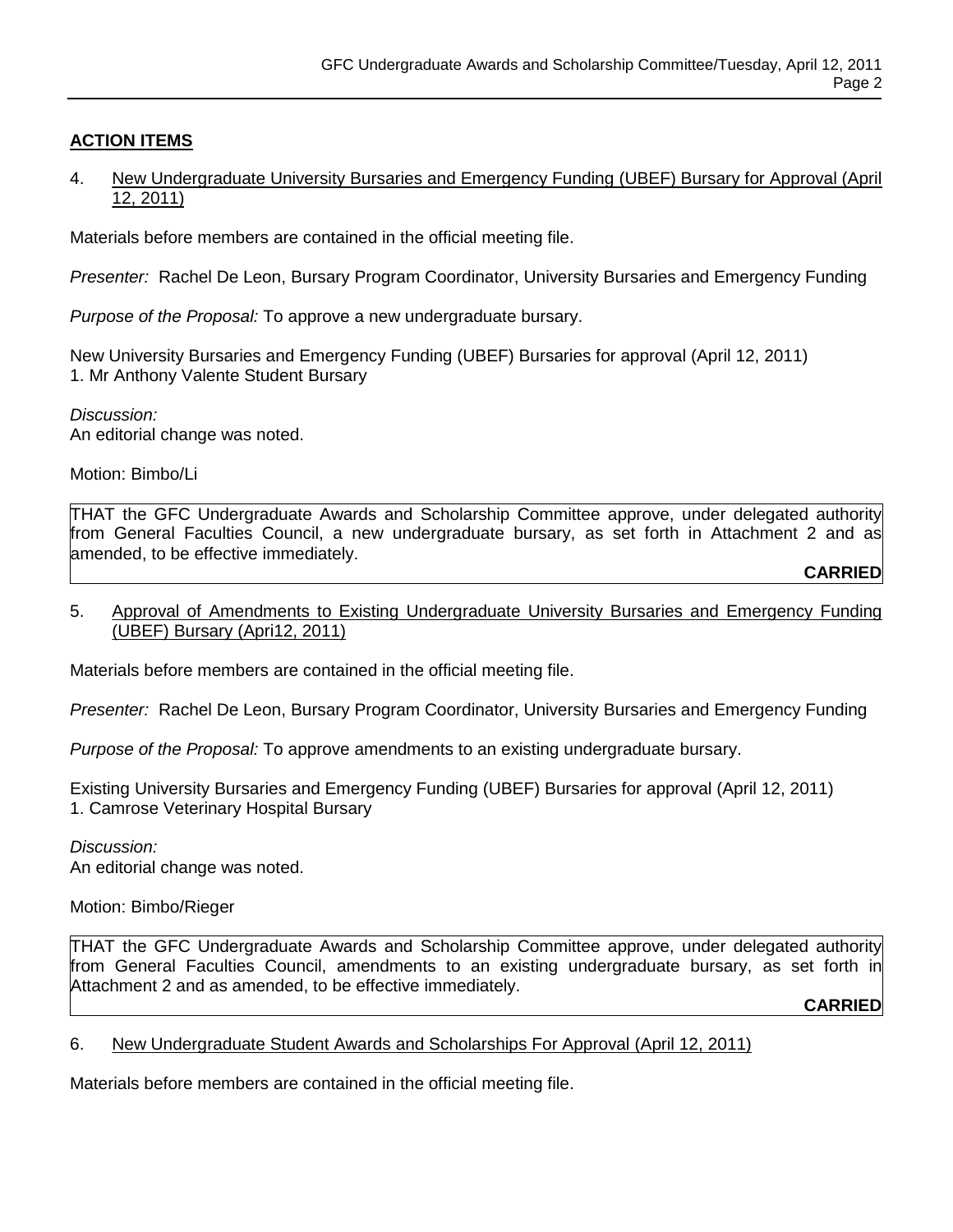# **ACTION ITEMS**

### 4. New Undergraduate University Bursaries and Emergency Funding (UBEF) Bursary for Approval (April 12, 2011)

Materials before members are contained in the official meeting file.

*Presenter:* Rachel De Leon, Bursary Program Coordinator, University Bursaries and Emergency Funding

*Purpose of the Proposal:* To approve a new undergraduate bursary.

New University Bursaries and Emergency Funding (UBEF) Bursaries for approval (April 12, 2011) 1. Mr Anthony Valente Student Bursary

*Discussion:* An editorial change was noted.

Motion: Bimbo/Li

THAT the GFC Undergraduate Awards and Scholarship Committee approve, under delegated authority from General Faculties Council, a new undergraduate bursary, as set forth in Attachment 2 and as amended, to be effective immediately.

#### **CARRIED**

# 5. Approval of Amendments to Existing Undergraduate University Bursaries and Emergency Funding (UBEF) Bursary (Apri12, 2011)

Materials before members are contained in the official meeting file.

*Presenter:* Rachel De Leon, Bursary Program Coordinator, University Bursaries and Emergency Funding

*Purpose of the Proposal:* To approve amendments to an existing undergraduate bursary.

Existing University Bursaries and Emergency Funding (UBEF) Bursaries for approval (April 12, 2011) 1. Camrose Veterinary Hospital Bursary

*Discussion:* An editorial change was noted.

Motion: Bimbo/Rieger

THAT the GFC Undergraduate Awards and Scholarship Committee approve, under delegated authority from General Faculties Council, amendments to an existing undergraduate bursary, as set forth in Attachment 2 and as amended, to be effective immediately.

**CARRIED**

#### 6. New Undergraduate Student Awards and Scholarships For Approval (April 12, 2011)

Materials before members are contained in the official meeting file.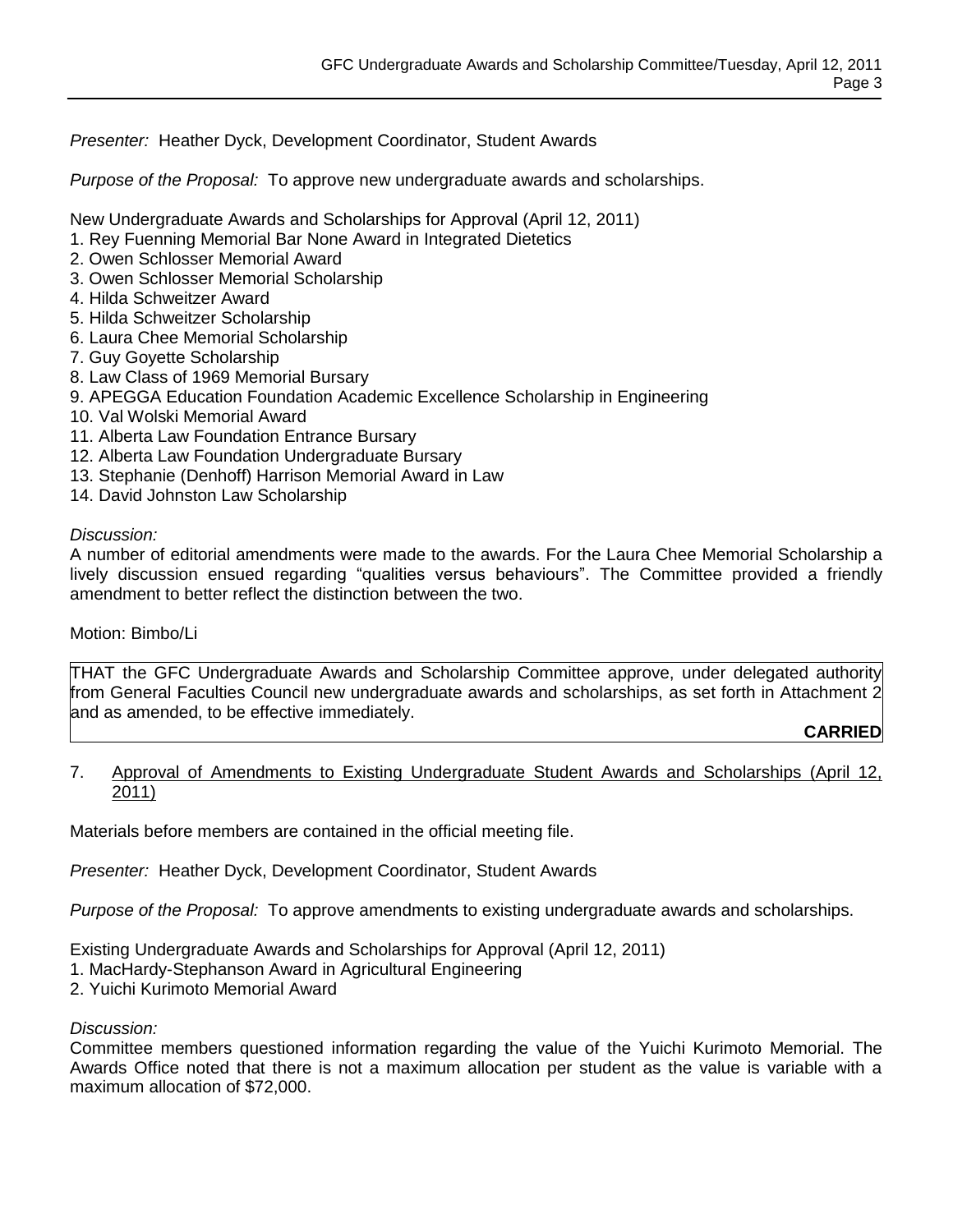*Presenter:* Heather Dyck, Development Coordinator, Student Awards

*Purpose of the Proposal:* To approve new undergraduate awards and scholarships.

New Undergraduate Awards and Scholarships for Approval (April 12, 2011)

- 1. Rey Fuenning Memorial Bar None Award in Integrated Dietetics
- 2. Owen Schlosser Memorial Award
- 3. Owen Schlosser Memorial Scholarship
- 4. Hilda Schweitzer Award
- 5. Hilda Schweitzer Scholarship
- 6. Laura Chee Memorial Scholarship
- 7. Guy Goyette Scholarship
- 8. Law Class of 1969 Memorial Bursary
- 9. APEGGA Education Foundation Academic Excellence Scholarship in Engineering
- 10. Val Wolski Memorial Award
- 11. Alberta Law Foundation Entrance Bursary
- 12. Alberta Law Foundation Undergraduate Bursary
- 13. Stephanie (Denhoff) Harrison Memorial Award in Law
- 14. David Johnston Law Scholarship

*Discussion:*

A number of editorial amendments were made to the awards. For the Laura Chee Memorial Scholarship a lively discussion ensued regarding "qualities versus behaviours". The Committee provided a friendly amendment to better reflect the distinction between the two.

Motion: Bimbo/Li

THAT the GFC Undergraduate Awards and Scholarship Committee approve, under delegated authority from General Faculties Council new undergraduate awards and scholarships, as set forth in Attachment 2 and as amended, to be effective immediately.

# **CARRIED**

### 7. Approval of Amendments to Existing Undergraduate Student Awards and Scholarships (April 12, 2011)

Materials before members are contained in the official meeting file.

*Presenter:* Heather Dyck, Development Coordinator, Student Awards

*Purpose of the Proposal:* To approve amendments to existing undergraduate awards and scholarships.

Existing Undergraduate Awards and Scholarships for Approval (April 12, 2011)

- 1. MacHardy-Stephanson Award in Agricultural Engineering
- 2. Yuichi Kurimoto Memorial Award

*Discussion:*

Committee members questioned information regarding the value of the Yuichi Kurimoto Memorial. The Awards Office noted that there is not a maximum allocation per student as the value is variable with a maximum allocation of \$72,000.